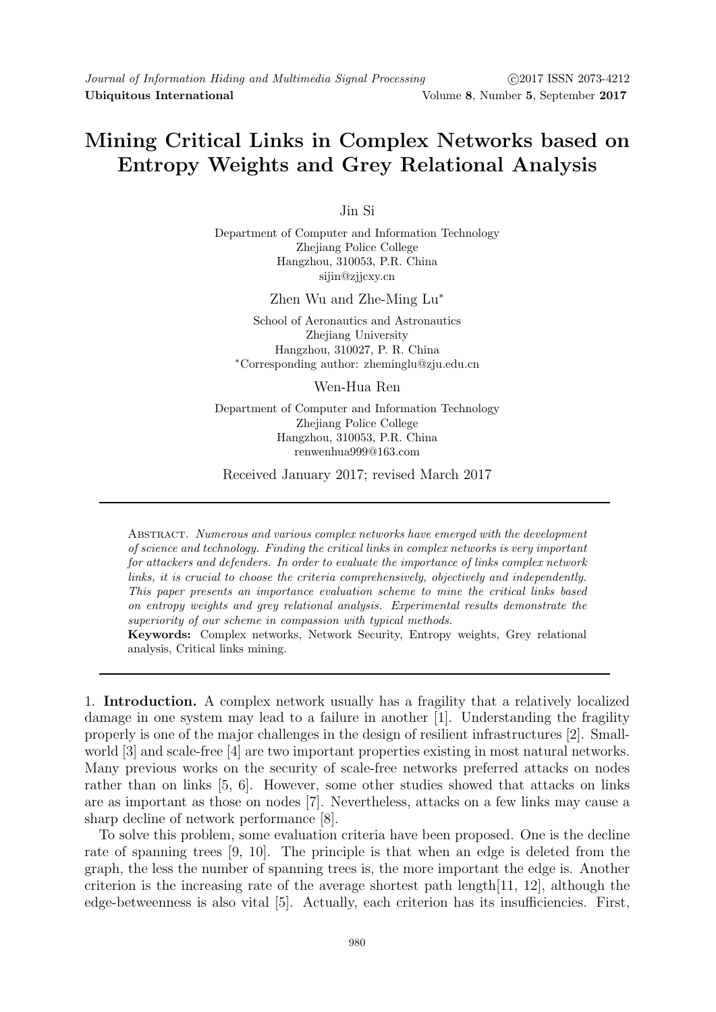## Mining Critical Links in Complex Networks based on Entropy Weights and Grey Relational Analysis

Jin Si

Department of Computer and Information Technology Zhejiang Police College Hangzhou, 310053, P.R. China sijin@zjjcxy.cn

Zhen Wu and Zhe-Ming Lu<sup>∗</sup>

School of Aeronautics and Astronautics Zhejiang University Hangzhou, 310027, P. R. China <sup>∗</sup>Corresponding author: zheminglu@zju.edu.cn

Wen-Hua Ren

Department of Computer and Information Technology Zhejiang Police College Hangzhou, 310053, P.R. China renwenhua999@163.com

Received January 2017; revised March 2017

Abstract. Numerous and various complex networks have emerged with the development of science and technology. Finding the critical links in complex networks is very important for attackers and defenders. In order to evaluate the importance of links complex network links, it is crucial to choose the criteria comprehensively, objectively and independently. This paper presents an importance evaluation scheme to mine the critical links based on entropy weights and grey relational analysis. Experimental results demonstrate the superiority of our scheme in compassion with typical methods.

Keywords: Complex networks, Network Security, Entropy weights, Grey relational analysis, Critical links mining.

1. Introduction. A complex network usually has a fragility that a relatively localized damage in one system may lead to a failure in another [1]. Understanding the fragility properly is one of the major challenges in the design of resilient infrastructures [2]. Smallworld [3] and scale-free [4] are two important properties existing in most natural networks. Many previous works on the security of scale-free networks preferred attacks on nodes rather than on links [5, 6]. However, some other studies showed that attacks on links are as important as those on nodes [7]. Nevertheless, attacks on a few links may cause a sharp decline of network performance [8].

To solve this problem, some evaluation criteria have been proposed. One is the decline rate of spanning trees [9, 10]. The principle is that when an edge is deleted from the graph, the less the number of spanning trees is, the more important the edge is. Another criterion is the increasing rate of the average shortest path length $[11, 12]$ , although the edge-betweenness is also vital [5]. Actually, each criterion has its insufficiencies. First,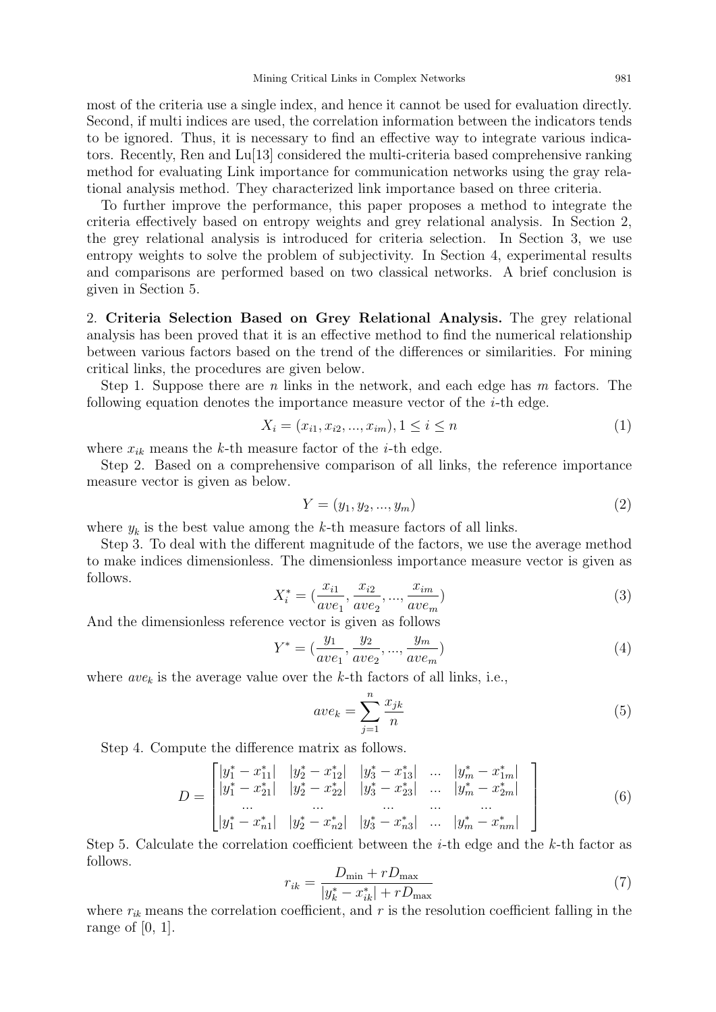most of the criteria use a single index, and hence it cannot be used for evaluation directly. Second, if multi indices are used, the correlation information between the indicators tends to be ignored. Thus, it is necessary to find an effective way to integrate various indicators. Recently, Ren and Lu[13] considered the multi-criteria based comprehensive ranking method for evaluating Link importance for communication networks using the gray relational analysis method. They characterized link importance based on three criteria.

To further improve the performance, this paper proposes a method to integrate the criteria effectively based on entropy weights and grey relational analysis. In Section 2, the grey relational analysis is introduced for criteria selection. In Section 3, we use entropy weights to solve the problem of subjectivity. In Section 4, experimental results and comparisons are performed based on two classical networks. A brief conclusion is given in Section 5.

2. Criteria Selection Based on Grey Relational Analysis. The grey relational analysis has been proved that it is an effective method to find the numerical relationship between various factors based on the trend of the differences or similarities. For mining critical links, the procedures are given below.

Step 1. Suppose there are n links in the network, and each edge has  $m$  factors. The following equation denotes the importance measure vector of the  $i$ -th edge.

$$
X_i = (x_{i1}, x_{i2}, ..., x_{im}), 1 \le i \le n
$$
\n<sup>(1)</sup>

where  $x_{ik}$  means the k-th measure factor of the *i*-th edge.

Step 2. Based on a comprehensive comparison of all links, the reference importance measure vector is given as below.

$$
Y = (y_1, y_2, ..., y_m)
$$
 (2)

where  $y_k$  is the best value among the k-th measure factors of all links.

Step 3. To deal with the different magnitude of the factors, we use the average method to make indices dimensionless. The dimensionless importance measure vector is given as follows.

$$
X_i^* = \left(\frac{x_{i1}}{ave_1}, \frac{x_{i2}}{ave_2}, \dots, \frac{x_{im}}{ave_m}\right)
$$
\n(3)

And the dimensionless reference vector is given as follows

$$
Y^* = \left(\frac{y_1}{ave_1}, \frac{y_2}{ave_2}, \dots, \frac{y_m}{ave_m}\right) \tag{4}
$$

where  $ave_k$  is the average value over the k-th factors of all links, i.e.,

$$
ave_k = \sum_{j=1}^{n} \frac{x_{jk}}{n}
$$
 (5)

Step 4. Compute the difference matrix as follows.

$$
D = \begin{bmatrix} |y_1^* - x_{11}^*| & |y_2^* - x_{12}^*| & |y_3^* - x_{13}^*| & \dots & |y_m^* - x_{1m}^*| \\ |y_1^* - x_{21}^*| & |y_2^* - x_{22}^*| & |y_3^* - x_{23}^*| & \dots & |y_m^* - x_{2m}^*| \\ \dots & \dots & \dots & \dots & \dots \\ |y_1^* - x_{n1}^*| & |y_2^* - x_{n2}^*| & |y_3^* - x_{n3}^*| & \dots & |y_m^* - x_{nm}^*| \end{bmatrix}
$$
(6)

Step 5. Calculate the correlation coefficient between the *i*-th edge and the  $k$ -th factor as follows.

$$
r_{ik} = \frac{D_{\min} + r D_{\max}}{|y_k^* - x_{ik}^*| + r D_{\max}}\tag{7}
$$

where  $r_{ik}$  means the correlation coefficient, and r is the resolution coefficient falling in the range of  $[0, 1]$ .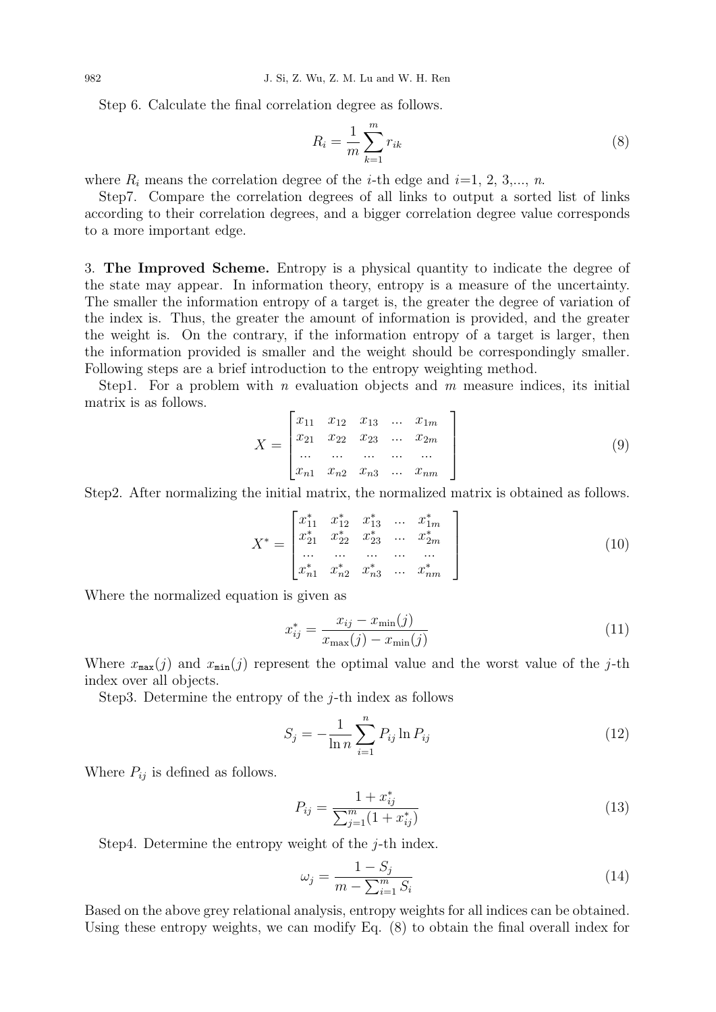Step 6. Calculate the final correlation degree as follows.

$$
R_i = \frac{1}{m} \sum_{k=1}^{m} r_{ik} \tag{8}
$$

where  $R_i$  means the correlation degree of the *i*-th edge and *i*=1, 2, 3,..., *n*.

Step7. Compare the correlation degrees of all links to output a sorted list of links according to their correlation degrees, and a bigger correlation degree value corresponds to a more important edge.

3. The Improved Scheme. Entropy is a physical quantity to indicate the degree of the state may appear. In information theory, entropy is a measure of the uncertainty. The smaller the information entropy of a target is, the greater the degree of variation of the index is. Thus, the greater the amount of information is provided, and the greater the weight is. On the contrary, if the information entropy of a target is larger, then the information provided is smaller and the weight should be correspondingly smaller. Following steps are a brief introduction to the entropy weighting method.

Step1. For a problem with n evaluation objects and  $m$  measure indices, its initial matrix is as follows.

$$
X = \begin{bmatrix} x_{11} & x_{12} & x_{13} & \dots & x_{1m} \\ x_{21} & x_{22} & x_{23} & \dots & x_{2m} \\ \dots & \dots & \dots & \dots & \dots \\ x_{n1} & x_{n2} & x_{n3} & \dots & x_{nm} \end{bmatrix}
$$
 (9)

Step2. After normalizing the initial matrix, the normalized matrix is obtained as follows.

$$
X^* = \begin{bmatrix} x_{11}^* & x_{12}^* & x_{13}^* & \dots & x_{1m}^* \\ x_{21}^* & x_{22}^* & x_{23}^* & \dots & x_{2m}^* \\ \dots & \dots & \dots & \dots & \dots \\ x_{n1}^* & x_{n2}^* & x_{n3}^* & \dots & x_{nm}^* \end{bmatrix}
$$
 (10)

Where the normalized equation is given as

$$
x_{ij}^{*} = \frac{x_{ij} - x_{\min}(j)}{x_{\max}(j) - x_{\min}(j)}
$$
(11)

Where  $x_{\text{max}}(j)$  and  $x_{\text{min}}(j)$  represent the optimal value and the worst value of the j-th index over all objects.

Step3. Determine the entropy of the  $i$ -th index as follows

$$
S_j = -\frac{1}{\ln n} \sum_{i=1}^{n} P_{ij} \ln P_{ij}
$$
 (12)

Where  $P_{ij}$  is defined as follows.

$$
P_{ij} = \frac{1 + x_{ij}^*}{\sum_{j=1}^m (1 + x_{ij}^*)}
$$
\n(13)

Step4. Determine the entropy weight of the  $i$ -th index.

$$
\omega_j = \frac{1 - S_j}{m - \sum_{i=1}^m S_i} \tag{14}
$$

Based on the above grey relational analysis, entropy weights for all indices can be obtained. Using these entropy weights, we can modify Eq. (8) to obtain the final overall index for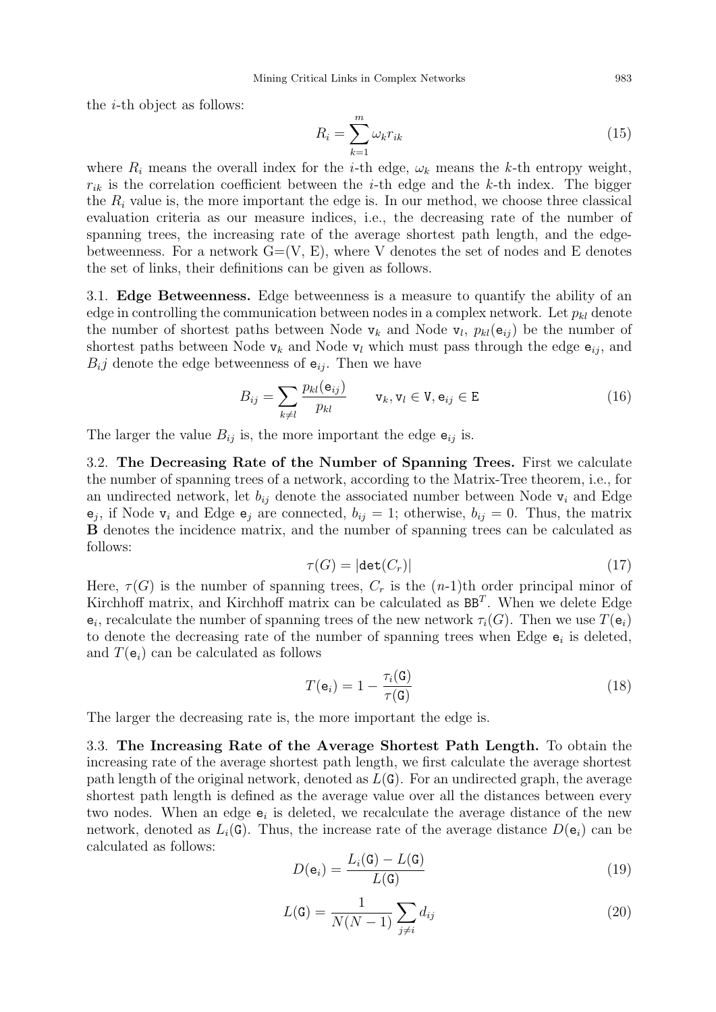the i-th object as follows:

$$
R_i = \sum_{k=1}^{m} \omega_k r_{ik} \tag{15}
$$

where  $R_i$  means the overall index for the *i*-th edge,  $\omega_k$  means the *k*-th entropy weight,  $r_{ik}$  is the correlation coefficient between the *i*-th edge and the *k*-th index. The bigger the  $R_i$  value is, the more important the edge is. In our method, we choose three classical evaluation criteria as our measure indices, i.e., the decreasing rate of the number of spanning trees, the increasing rate of the average shortest path length, and the edgebetweenness. For a network  $G=(V, E)$ , where V denotes the set of nodes and E denotes the set of links, their definitions can be given as follows.

3.1. Edge Betweenness. Edge betweenness is a measure to quantify the ability of an edge in controlling the communication between nodes in a complex network. Let  $p_{kl}$  denote the number of shortest paths between Node  $v_k$  and Node  $v_l$ ,  $p_{kl}(e_{ij})$  be the number of shortest paths between Node  $v_k$  and Node  $v_l$  which must pass through the edge  $e_{ij}$ , and  $B_{i,j}$  denote the edge betweenness of  $e_{ij}$ . Then we have

$$
B_{ij} = \sum_{k \neq l} \frac{p_{kl}(\mathbf{e}_{ij})}{p_{kl}} \qquad \mathbf{v}_k, \mathbf{v}_l \in \mathbf{V}, \mathbf{e}_{ij} \in \mathbf{E}
$$
 (16)

The larger the value  $B_{ij}$  is, the more important the edge  $e_{ij}$  is.

3.2. The Decreasing Rate of the Number of Spanning Trees. First we calculate the number of spanning trees of a network, according to the Matrix-Tree theorem, i.e., for an undirected network, let  $b_{ij}$  denote the associated number between Node  $v_i$  and Edge  $e_j$ , if Node  $v_i$  and Edge  $e_j$  are connected,  $b_{ij} = 1$ ; otherwise,  $b_{ij} = 0$ . Thus, the matrix B denotes the incidence matrix, and the number of spanning trees can be calculated as follows:

$$
\tau(G) = |\det(C_r)|\tag{17}
$$

Here,  $\tau(G)$  is the number of spanning trees,  $C_r$  is the  $(n-1)$ th order principal minor of Kirchhoff matrix, and Kirchhoff matrix can be calculated as  $BB<sup>T</sup>$ . When we delete Edge  $e_i$ , recalculate the number of spanning trees of the new network  $\tau_i(G)$ . Then we use  $T(e_i)$ to denote the decreasing rate of the number of spanning trees when Edge  $e_i$  is deleted, and  $T(e_i)$  can be calculated as follows

$$
T(\mathbf{e}_i) = 1 - \frac{\tau_i(\mathbf{G})}{\tau(\mathbf{G})}
$$
\n(18)

The larger the decreasing rate is, the more important the edge is.

3.3. The Increasing Rate of the Average Shortest Path Length. To obtain the increasing rate of the average shortest path length, we first calculate the average shortest path length of the original network, denoted as  $L(G)$ . For an undirected graph, the average shortest path length is defined as the average value over all the distances between every two nodes. When an edge  $e_i$  is deleted, we recalculate the average distance of the new network, denoted as  $L_i(G)$ . Thus, the increase rate of the average distance  $D(\mathbf{e}_i)$  can be calculated as follows:

$$
D(\mathbf{e}_i) = \frac{L_i(\mathbf{G}) - L(\mathbf{G})}{L(\mathbf{G})}
$$
\n(19)

$$
L(\mathbf{G}) = \frac{1}{N(N-1)} \sum_{j \neq i} d_{ij} \tag{20}
$$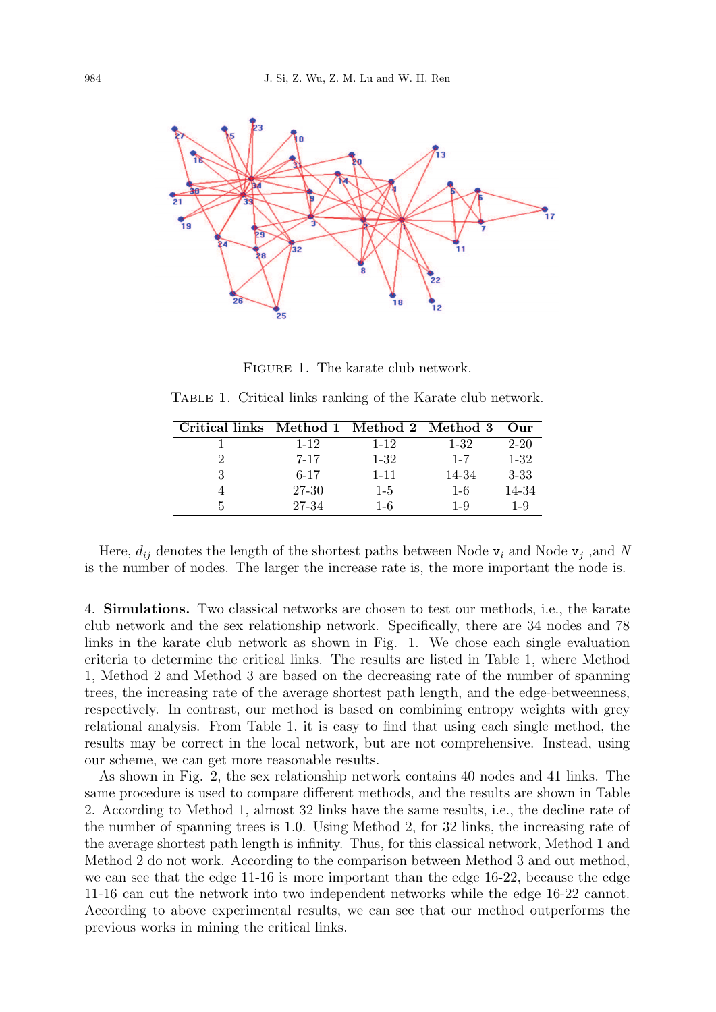

FIGURE 1. The karate club network.

TABLE 1. Critical links ranking of the Karate club network.

| Critical links Method 1 Method 2 Method 3 |          |          |          | $_{\rm Our}$ |
|-------------------------------------------|----------|----------|----------|--------------|
|                                           | $1 - 12$ | $1 - 12$ | $1 - 32$ | $2 - 20$     |
|                                           | $7 - 17$ | $1 - 32$ | $1 - 7$  | $1 - 32$     |
|                                           | $6 - 17$ | $1 - 11$ | 14-34    | $3 - 33$     |
|                                           | 27-30    | $1 - 5$  | $1 - 6$  | 14-34        |
| 5                                         | 27-34    | $1 - 6$  | $1-9$    | $1 - 9$      |
|                                           |          |          |          |              |

Here,  $d_{ij}$  denotes the length of the shortest paths between Node  $v_i$  and Node  $v_j$ , and N is the number of nodes. The larger the increase rate is, the more important the node is.

4. Simulations. Two classical networks are chosen to test our methods, i.e., the karate club network and the sex relationship network. Specifically, there are 34 nodes and 78 links in the karate club network as shown in Fig. 1. We chose each single evaluation criteria to determine the critical links. The results are listed in Table 1, where Method 1, Method 2 and Method 3 are based on the decreasing rate of the number of spanning trees, the increasing rate of the average shortest path length, and the edge-betweenness, respectively. In contrast, our method is based on combining entropy weights with grey relational analysis. From Table 1, it is easy to find that using each single method, the results may be correct in the local network, but are not comprehensive. Instead, using our scheme, we can get more reasonable results.

As shown in Fig. 2, the sex relationship network contains 40 nodes and 41 links. The same procedure is used to compare different methods, and the results are shown in Table 2. According to Method 1, almost 32 links have the same results, i.e., the decline rate of the number of spanning trees is 1.0. Using Method 2, for 32 links, the increasing rate of the average shortest path length is infinity. Thus, for this classical network, Method 1 and Method 2 do not work. According to the comparison between Method 3 and out method, we can see that the edge 11-16 is more important than the edge 16-22, because the edge 11-16 can cut the network into two independent networks while the edge 16-22 cannot. According to above experimental results, we can see that our method outperforms the previous works in mining the critical links.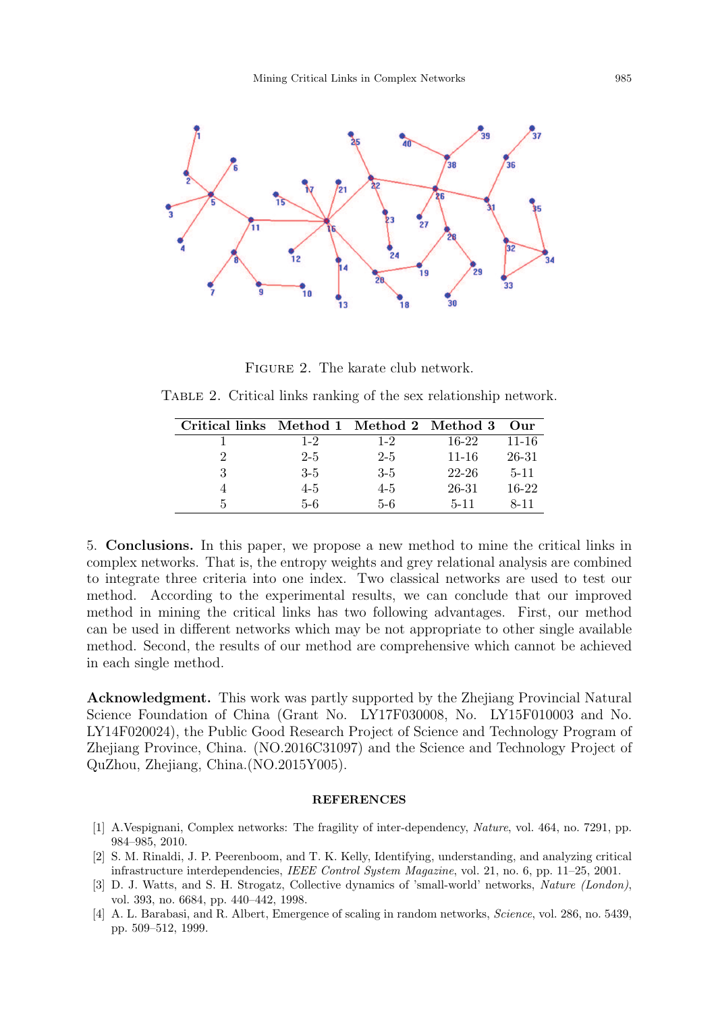

FIGURE 2. The karate club network.

TABLE 2. Critical links ranking of the sex relationship network.

| Critical links Method 1 Method 2 Method 3 Our |         |         |           |           |
|-----------------------------------------------|---------|---------|-----------|-----------|
|                                               | $1 - 2$ | $1-2$   | $16-22$   | $11 - 16$ |
|                                               | $2 - 5$ | $2 - 5$ | $11 - 16$ | 26-31     |
| 3                                             | $3-5$   | $3-5$   | $22 - 26$ | $5 - 11$  |
|                                               | $4 - 5$ | $4 - 5$ | 26-31     | $16-22$   |
| h.                                            | 5-6     | $-5-6$  | $5 - 11$  | $8 - 11$  |

5. Conclusions. In this paper, we propose a new method to mine the critical links in complex networks. That is, the entropy weights and grey relational analysis are combined to integrate three criteria into one index. Two classical networks are used to test our method. According to the experimental results, we can conclude that our improved method in mining the critical links has two following advantages. First, our method can be used in different networks which may be not appropriate to other single available method. Second, the results of our method are comprehensive which cannot be achieved in each single method.

Acknowledgment. This work was partly supported by the Zhejiang Provincial Natural Science Foundation of China (Grant No. LY17F030008, No. LY15F010003 and No. LY14F020024), the Public Good Research Project of Science and Technology Program of Zhejiang Province, China. (NO.2016C31097) and the Science and Technology Project of QuZhou, Zhejiang, China.(NO.2015Y005).

## **REFERENCES**

- [1] A.Vespignani, Complex networks: The fragility of inter-dependency, Nature, vol. 464, no. 7291, pp. 984–985, 2010.
- [2] S. M. Rinaldi, J. P. Peerenboom, and T. K. Kelly, Identifying, understanding, and analyzing critical infrastructure interdependencies, IEEE Control System Magazine, vol. 21, no. 6, pp. 11–25, 2001.
- [3] D. J. Watts, and S. H. Strogatz, Collective dynamics of 'small-world' networks, Nature (London), vol. 393, no. 6684, pp. 440–442, 1998.
- [4] A. L. Barabasi, and R. Albert, Emergence of scaling in random networks, Science, vol. 286, no. 5439, pp. 509–512, 1999.